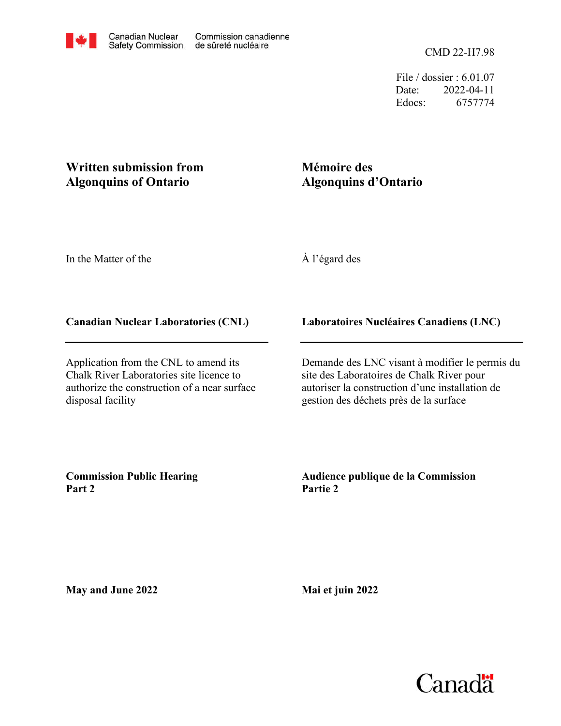File / dossier : 6.01.07 Date: 2022-04-11 Edocs: 6757774

# **Written submission from Algonquins of Ontario**

# **Mémoire des Algonquins d'Ontario**

In the Matter of the

À l'égard des

# **Canadian Nuclear Laboratories (CNL)**

Application from the CNL to amend its Chalk River Laboratories site licence to authorize the construction of a near surface disposal facility

**Laboratoires Nucléaires Canadiens (LNC)**

Demande des LNC visant à modifier le permis du site des Laboratoires de Chalk River pour autoriser la construction d'une installation de gestion des déchets près de la surface

**Commission Public Hearing Part 2**

**Audience publique de la Commission Partie 2**

**May and June 2022**

**Mai et juin 2022**

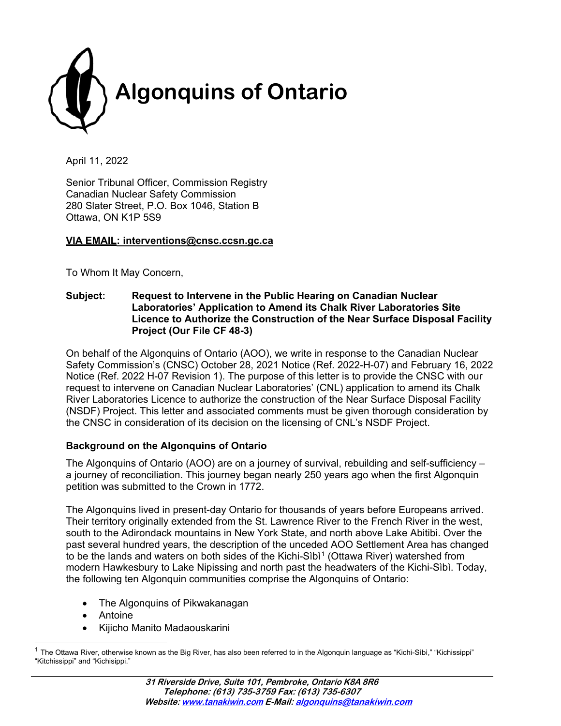

April 11, 2022

Senior Tribunal Officer, Commission Registry Canadian Nuclear Safety Commission 280 Slater Street, P.O. Box 1046, Station B Ottawa, ON K1P 5S9

#### **VIA EMAIL: interventions@cnsc.ccsn.gc.ca**

To Whom It May Concern,

**Subject: Request to Intervene in the Public Hearing on Canadian Nuclear Laboratories' Application to Amend its Chalk River Laboratories Site Licence to Authorize the Construction of the Near Surface Disposal Facility Project (Our File CF 48-3)**

On behalf of the Algonquins of Ontario (AOO), we write in response to the Canadian Nuclear Safety Commission's (CNSC) October 28, 2021 Notice (Ref. 2022-H-07) and February 16, 2022 Notice (Ref. 2022 H-07 Revision 1). The purpose of this letter is to provide the CNSC with our request to intervene on Canadian Nuclear Laboratories' (CNL) application to amend its Chalk River Laboratories Licence to authorize the construction of the Near Surface Disposal Facility (NSDF) Project. This letter and associated comments must be given thorough consideration by the CNSC in consideration of its decision on the licensing of CNL's NSDF Project.

#### **Background on the Algonquins of Ontario**

The Algonquins of Ontario (AOO) are on a journey of survival, rebuilding and self-sufficiency – a journey of reconciliation. This journey began nearly 250 years ago when the first Algonquin petition was submitted to the Crown in 1772.

The Algonquins lived in present-day Ontario for thousands of years before Europeans arrived. Their territory originally extended from the St. Lawrence River to the French River in the west, south to the Adirondack mountains in New York State, and north above Lake Abitibi. Over the past several hundred years, the description of the unceded AOO Settlement Area has changed to be the lands and waters on both sides of the Kichi-Sibi<sup>[1](#page-1-0)</sup> (Ottawa River) watershed from modern Hawkesbury to Lake Nipissing and north past the headwaters of the Kichi-Sìbì. Today, the following ten Algonquin communities comprise the Algonquins of Ontario:

- The Algonguins of Pikwakanagan
- **Antoine**
- Kijicho Manito Madaouskarini

<span id="page-1-0"></span> $^{\text{1}}$  The Ottawa River, otherwise known as the Big River, has also been referred to in the Algonquin language as "Kichi-Sìbì," "Kichissippi" "Kitchissippi" and "Kichisippi."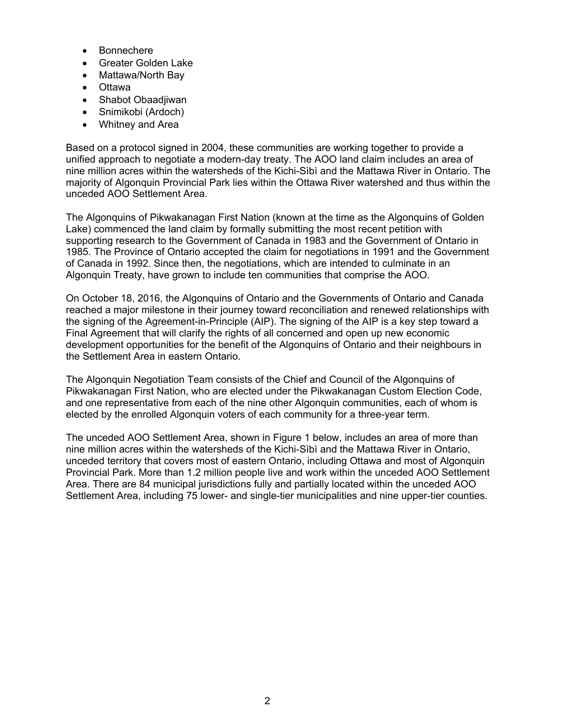- **Bonnechere**
- Greater Golden Lake
- Mattawa/North Bay
- Ottawa
- Shabot Obaadjiwan
- Snimikobi (Ardoch)
- Whitney and Area

Based on a protocol signed in 2004, these communities are working together to provide a unified approach to negotiate a modern-day treaty. The AOO land claim includes an area of nine million acres within the watersheds of the Kichi-Sìbì and the Mattawa River in Ontario. The majority of Algonquin Provincial Park lies within the Ottawa River watershed and thus within the unceded AOO Settlement Area.

The Algonquins of Pikwakanagan First Nation (known at the time as the Algonquins of Golden Lake) commenced the land claim by formally submitting the most recent petition with supporting research to the Government of Canada in 1983 and the Government of Ontario in 1985. The Province of Ontario accepted the claim for negotiations in 1991 and the Government of Canada in 1992. Since then, the negotiations, which are intended to culminate in an Algonquin Treaty, have grown to include ten communities that comprise the AOO.

On October 18, 2016, the Algonquins of Ontario and the Governments of Ontario and Canada reached a major milestone in their journey toward reconciliation and renewed relationships with the signing of the Agreement-in-Principle (AIP). The signing of the AIP is a key step toward a Final Agreement that will clarify the rights of all concerned and open up new economic development opportunities for the benefit of the Algonquins of Ontario and their neighbours in the Settlement Area in eastern Ontario.

The Algonquin Negotiation Team consists of the Chief and Council of the Algonquins of Pikwakanagan First Nation, who are elected under the Pikwakanagan Custom Election Code, and one representative from each of the nine other Algonquin communities, each of whom is elected by the enrolled Algonquin voters of each community for a three-year term.

The unceded AOO Settlement Area, shown in Figure 1 below, includes an area of more than nine million acres within the watersheds of the Kichi-Sìbì and the Mattawa River in Ontario, unceded territory that covers most of eastern Ontario, including Ottawa and most of Algonquin Provincial Park. More than 1.2 million people live and work within the unceded AOO Settlement Area. There are 84 municipal jurisdictions fully and partially located within the unceded AOO Settlement Area, including 75 lower- and single-tier municipalities and nine upper-tier counties.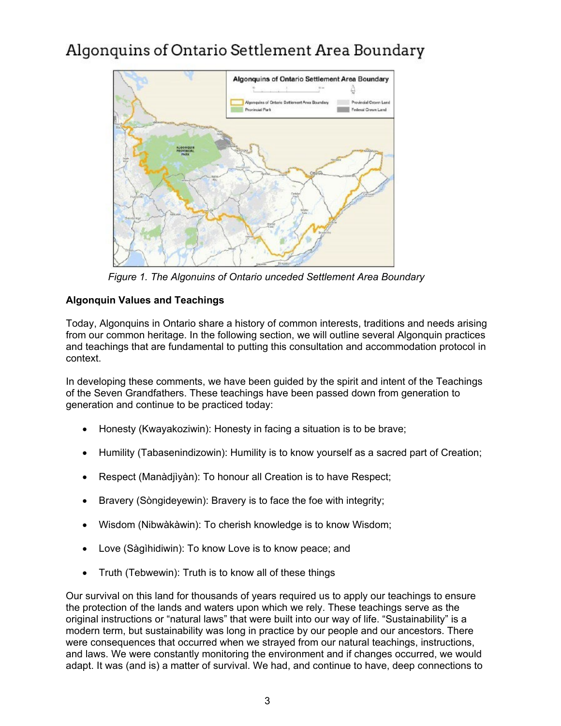# Algonguins of Ontario Settlement Area Boundary



 *Figure 1. The Algonuins of Ontario unceded Settlement Area Boundary*

# **Algonquin Values and Teachings**

Today, Algonquins in Ontario share a history of common interests, traditions and needs arising from our common heritage. In the following section, we will outline several Algonquin practices and teachings that are fundamental to putting this consultation and accommodation protocol in context.

In developing these comments, we have been guided by the spirit and intent of the Teachings of the Seven Grandfathers. These teachings have been passed down from generation to generation and continue to be practiced today:

- Honesty (Kwayakoziwin): Honesty in facing a situation is to be brave;
- Humility (Tabasenindizowin): Humility is to know yourself as a sacred part of Creation;
- Respect (Manàdjìyàn): To honour all Creation is to have Respect;
- Bravery (Sòngideyewin): Bravery is to face the foe with integrity;
- Wisdom (Nibwàkàwin): To cherish knowledge is to know Wisdom;
- Love (Sàgìhidiwin): To know Love is to know peace; and
- Truth (Tebwewin): Truth is to know all of these things

Our survival on this land for thousands of years required us to apply our teachings to ensure the protection of the lands and waters upon which we rely. These teachings serve as the original instructions or "natural laws" that were built into our way of life. "Sustainability" is a modern term, but sustainability was long in practice by our people and our ancestors. There were consequences that occurred when we strayed from our natural teachings, instructions, and laws. We were constantly monitoring the environment and if changes occurred, we would adapt. It was (and is) a matter of survival. We had, and continue to have, deep connections to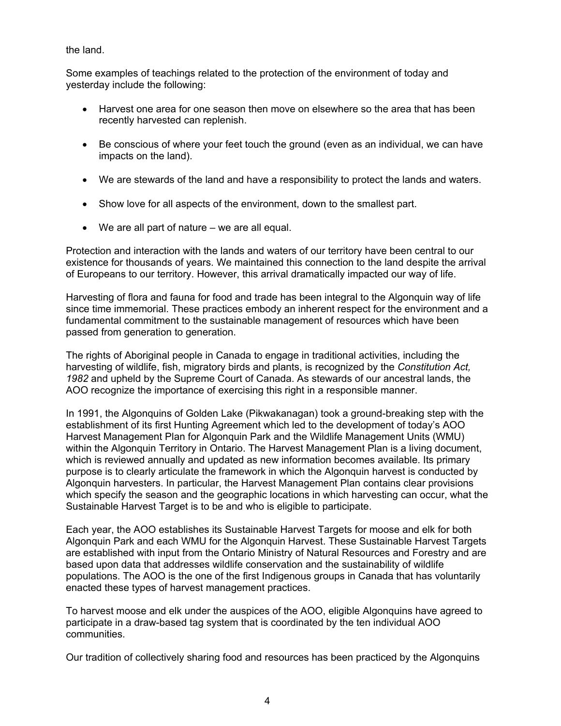the land.

Some examples of teachings related to the protection of the environment of today and yesterday include the following:

- Harvest one area for one season then move on elsewhere so the area that has been recently harvested can replenish.
- Be conscious of where your feet touch the ground (even as an individual, we can have impacts on the land).
- We are stewards of the land and have a responsibility to protect the lands and waters.
- Show love for all aspects of the environment, down to the smallest part.
- We are all part of nature we are all equal.

Protection and interaction with the lands and waters of our territory have been central to our existence for thousands of years. We maintained this connection to the land despite the arrival of Europeans to our territory. However, this arrival dramatically impacted our way of life.

Harvesting of flora and fauna for food and trade has been integral to the Algonquin way of life since time immemorial. These practices embody an inherent respect for the environment and a fundamental commitment to the sustainable management of resources which have been passed from generation to generation.

The rights of Aboriginal people in Canada to engage in traditional activities, including the harvesting of wildlife, fish, migratory birds and plants, is recognized by the *Constitution Act, 1982* and upheld by the Supreme Court of Canada. As stewards of our ancestral lands, the AOO recognize the importance of exercising this right in a responsible manner.

In 1991, the Algonquins of Golden Lake (Pikwakanagan) took a ground-breaking step with the establishment of its first Hunting Agreement which led to the development of today's AOO Harvest Management Plan for Algonquin Park and the Wildlife Management Units (WMU) within the Algonquin Territory in Ontario. The Harvest Management Plan is a living document, which is reviewed annually and updated as new information becomes available. Its primary purpose is to clearly articulate the framework in which the Algonquin harvest is conducted by Algonquin harvesters. In particular, the Harvest Management Plan contains clear provisions which specify the season and the geographic locations in which harvesting can occur, what the Sustainable Harvest Target is to be and who is eligible to participate.

Each year, the AOO establishes its Sustainable Harvest Targets for moose and elk for both Algonquin Park and each WMU for the Algonquin Harvest. These Sustainable Harvest Targets are established with input from the Ontario Ministry of Natural Resources and Forestry and are based upon data that addresses wildlife conservation and the sustainability of wildlife populations. The AOO is the one of the first Indigenous groups in Canada that has voluntarily enacted these types of harvest management practices.

To harvest moose and elk under the auspices of the AOO, eligible Algonquins have agreed to participate in a draw-based tag system that is coordinated by the ten individual AOO communities.

Our tradition of collectively sharing food and resources has been practiced by the Algonquins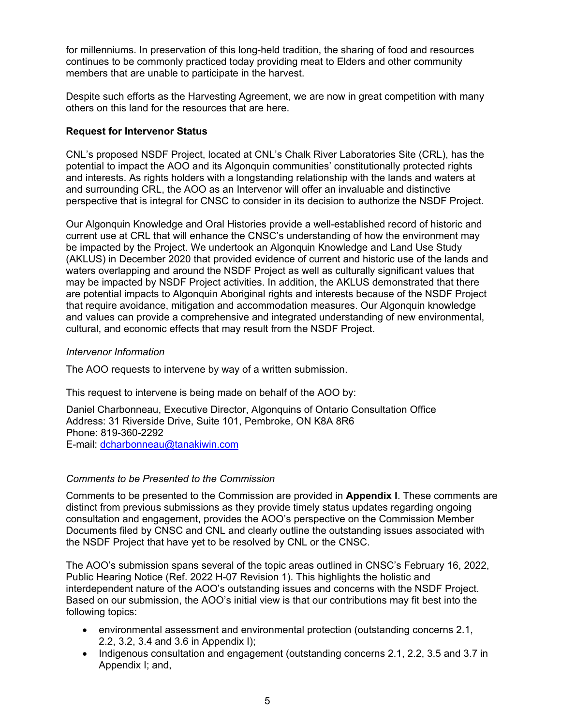for millenniums. In preservation of this long-held tradition, the sharing of food and resources continues to be commonly practiced today providing meat to Elders and other community members that are unable to participate in the harvest.

Despite such efforts as the Harvesting Agreement, we are now in great competition with many others on this land for the resources that are here.

#### **Request for Intervenor Status**

CNL's proposed NSDF Project, located at CNL's Chalk River Laboratories Site (CRL), has the potential to impact the AOO and its Algonquin communities' constitutionally protected rights and interests. As rights holders with a longstanding relationship with the lands and waters at and surrounding CRL, the AOO as an Intervenor will offer an invaluable and distinctive perspective that is integral for CNSC to consider in its decision to authorize the NSDF Project.

Our Algonquin Knowledge and Oral Histories provide a well-established record of historic and current use at CRL that will enhance the CNSC's understanding of how the environment may be impacted by the Project. We undertook an Algonquin Knowledge and Land Use Study (AKLUS) in December 2020 that provided evidence of current and historic use of the lands and waters overlapping and around the NSDF Project as well as culturally significant values that may be impacted by NSDF Project activities. In addition, the AKLUS demonstrated that there are potential impacts to Algonquin Aboriginal rights and interests because of the NSDF Project that require avoidance, mitigation and accommodation measures. Our Algonquin knowledge and values can provide a comprehensive and integrated understanding of new environmental, cultural, and economic effects that may result from the NSDF Project.

#### *Intervenor Information*

The AOO requests to intervene by way of a written submission.

This request to intervene is being made on behalf of the AOO by:

Daniel Charbonneau, Executive Director, Algonquins of Ontario Consultation Office Address: 31 Riverside Drive, Suite 101, Pembroke, ON K8A 8R6 Phone: 819-360-2292 E-mail: [dcharbonneau@tanakiwin.com](mailto:dcharbonneau@tanakiwin.com)

#### *Comments to be Presented to the Commission*

Comments to be presented to the Commission are provided in **Appendix I**. These comments are distinct from previous submissions as they provide timely status updates regarding ongoing consultation and engagement, provides the AOO's perspective on the Commission Member Documents filed by CNSC and CNL and clearly outline the outstanding issues associated with the NSDF Project that have yet to be resolved by CNL or the CNSC.

The AOO's submission spans several of the topic areas outlined in CNSC's February 16, 2022, Public Hearing Notice (Ref. 2022 H-07 Revision 1). This highlights the holistic and interdependent nature of the AOO's outstanding issues and concerns with the NSDF Project. Based on our submission, the AOO's initial view is that our contributions may fit best into the following topics:

- environmental assessment and environmental protection (outstanding concerns 2.1, 2.2, 3.2, 3.4 and 3.6 in Appendix I);
- Indigenous consultation and engagement (outstanding concerns 2.1, 2.2, 3.5 and 3.7 in Appendix I; and,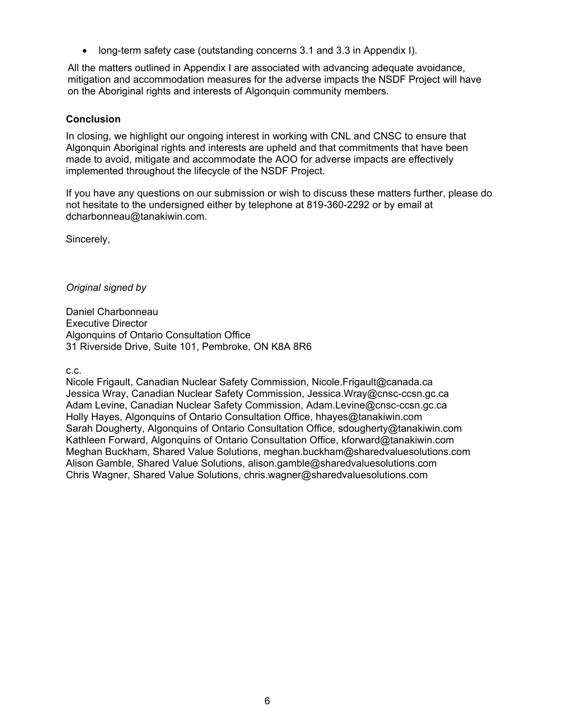• long-term safety case (outstanding concerns 3.1 and 3.3 in Appendix I).

All the matters outlined in Appendix I are associated with advancing adequate avoidance, mitigation and accommodation measures for the adverse impacts the NSDF Project will have on the Aboriginal rights and interests of Algonquin community members.

#### **Conclusion**

In closing, we highlight our ongoing interest in working with CNL and CNSC to ensure that Algonquin Aboriginal rights and interests are upheld and that commitments that have been made to avoid, mitigate and accommodate the AOO for adverse impacts are effectively implemented throughout the lifecycle of the NSDF Project.

If you have any questions on our submission or wish to discuss these matters further, please do not hesitate to the undersigned either by telephone at 819-360-2292 or by email at dcharbonneau@tanakiwin.com.

Sincerely,

*Original signed by*

Daniel Charbonneau Executive Director Algonquins of Ontario Consultation Office 31 Riverside Drive, Suite 101, Pembroke, ON K8A 8R6

c.c.

Nicole Frigault, Canadian Nuclear Safety Commission, Nicole.Frigault@canada.ca Jessica Wray, Canadian Nuclear Safety Commission, Jessica.Wray@cnsc-ccsn.gc.ca Adam Levine, Canadian Nuclear Safety Commission, Adam.Levine@cnsc-ccsn.gc.ca Holly Hayes, Algonquins of Ontario Consultation Office, hhayes@tanakiwin.com Sarah Dougherty, Algonquins of Ontario Consultation Office, sdougherty@tanakiwin.com Kathleen Forward, Algonquins of Ontario Consultation Office, kforward@tanakiwin.com Meghan Buckham, Shared Value Solutions, meghan.buckham@sharedvaluesolutions.com Alison Gamble, Shared Value Solutions, alison.gamble@sharedvaluesolutions.com Chris Wagner, Shared Value Solutions, chris.wagner@sharedvaluesolutions.com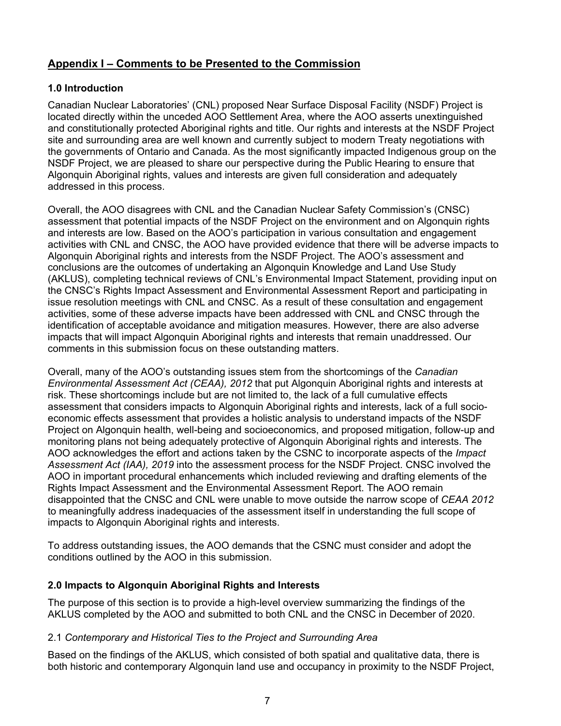# **Appendix I – Comments to be Presented to the Commission**

## **1.0 Introduction**

Canadian Nuclear Laboratories' (CNL) proposed Near Surface Disposal Facility (NSDF) Project is located directly within the unceded AOO Settlement Area, where the AOO asserts unextinguished and constitutionally protected Aboriginal rights and title. Our rights and interests at the NSDF Project site and surrounding area are well known and currently subject to modern Treaty negotiations with the governments of Ontario and Canada. As the most significantly impacted Indigenous group on the NSDF Project, we are pleased to share our perspective during the Public Hearing to ensure that Algonquin Aboriginal rights, values and interests are given full consideration and adequately addressed in this process.

Overall, the AOO disagrees with CNL and the Canadian Nuclear Safety Commission's (CNSC) assessment that potential impacts of the NSDF Project on the environment and on Algonquin rights and interests are low. Based on the AOO's participation in various consultation and engagement activities with CNL and CNSC, the AOO have provided evidence that there will be adverse impacts to Algonquin Aboriginal rights and interests from the NSDF Project. The AOO's assessment and conclusions are the outcomes of undertaking an Algonquin Knowledge and Land Use Study (AKLUS), completing technical reviews of CNL's Environmental Impact Statement, providing input on the CNSC's Rights Impact Assessment and Environmental Assessment Report and participating in issue resolution meetings with CNL and CNSC. As a result of these consultation and engagement activities, some of these adverse impacts have been addressed with CNL and CNSC through the identification of acceptable avoidance and mitigation measures. However, there are also adverse impacts that will impact Algonquin Aboriginal rights and interests that remain unaddressed. Our comments in this submission focus on these outstanding matters.

Overall, many of the AOO's outstanding issues stem from the shortcomings of the *Canadian Environmental Assessment Act (CEAA), 2012* that put Algonquin Aboriginal rights and interests at risk. These shortcomings include but are not limited to, the lack of a full cumulative effects assessment that considers impacts to Algonquin Aboriginal rights and interests, lack of a full socioeconomic effects assessment that provides a holistic analysis to understand impacts of the NSDF Project on Algonquin health, well-being and socioeconomics, and proposed mitigation, follow-up and monitoring plans not being adequately protective of Algonquin Aboriginal rights and interests. The AOO acknowledges the effort and actions taken by the CSNC to incorporate aspects of the *Impact Assessment Act (IAA), 2019* into the assessment process for the NSDF Project. CNSC involved the AOO in important procedural enhancements which included reviewing and drafting elements of the Rights Impact Assessment and the Environmental Assessment Report. The AOO remain disappointed that the CNSC and CNL were unable to move outside the narrow scope of *CEAA 2012* to meaningfully address inadequacies of the assessment itself in understanding the full scope of impacts to Algonquin Aboriginal rights and interests.

To address outstanding issues, the AOO demands that the CSNC must consider and adopt the conditions outlined by the AOO in this submission.

## **2.0 Impacts to Algonquin Aboriginal Rights and Interests**

The purpose of this section is to provide a high-level overview summarizing the findings of the AKLUS completed by the AOO and submitted to both CNL and the CNSC in December of 2020.

#### 2.1 *Contemporary and Historical Ties to the Project and Surrounding Area*

Based on the findings of the AKLUS, which consisted of both spatial and qualitative data, there is both historic and contemporary Algonquin land use and occupancy in proximity to the NSDF Project,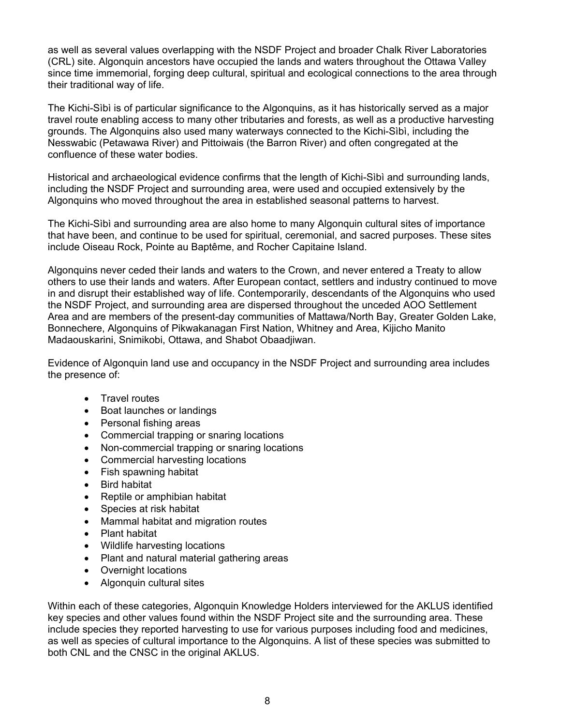as well as several values overlapping with the NSDF Project and broader Chalk River Laboratories (CRL) site. Algonquin ancestors have occupied the lands and waters throughout the Ottawa Valley since time immemorial, forging deep cultural, spiritual and ecological connections to the area through their traditional way of life.

The Kichi-Sìbì is of particular significance to the Algonquins, as it has historically served as a major travel route enabling access to many other tributaries and forests, as well as a productive harvesting grounds. The Algonquins also used many waterways connected to the Kichi-Sìbì, including the Nesswabic (Petawawa River) and Pittoiwais (the Barron River) and often congregated at the confluence of these water bodies.

Historical and archaeological evidence confirms that the length of Kichi-Sìbì and surrounding lands, including the NSDF Project and surrounding area, were used and occupied extensively by the Algonquins who moved throughout the area in established seasonal patterns to harvest.

The Kichi-Sìbì and surrounding area are also home to many Algonquin cultural sites of importance that have been, and continue to be used for spiritual, ceremonial, and sacred purposes. These sites include Oiseau Rock, Pointe au Baptême, and Rocher Capitaine Island.

Algonquins never ceded their lands and waters to the Crown, and never entered a Treaty to allow others to use their lands and waters. After European contact, settlers and industry continued to move in and disrupt their established way of life. Contemporarily, descendants of the Algonquins who used the NSDF Project, and surrounding area are dispersed throughout the unceded AOO Settlement Area and are members of the present-day communities of Mattawa/North Bay, Greater Golden Lake, Bonnechere, Algonquins of Pikwakanagan First Nation, Whitney and Area, Kijicho Manito Madaouskarini, Snimikobi, Ottawa, and Shabot Obaadjiwan.

Evidence of Algonquin land use and occupancy in the NSDF Project and surrounding area includes the presence of:

- Travel routes
- Boat launches or landings
- Personal fishing areas
- Commercial trapping or snaring locations
- Non-commercial trapping or snaring locations
- Commercial harvesting locations
- Fish spawning habitat
- Bird habitat
- Reptile or amphibian habitat
- Species at risk habitat
- Mammal habitat and migration routes
- Plant habitat
- Wildlife harvesting locations
- Plant and natural material gathering areas
- Overnight locations
- Algonquin cultural sites

Within each of these categories, Algonquin Knowledge Holders interviewed for the AKLUS identified key species and other values found within the NSDF Project site and the surrounding area. These include species they reported harvesting to use for various purposes including food and medicines, as well as species of cultural importance to the Algonquins. A list of these species was submitted to both CNL and the CNSC in the original AKLUS.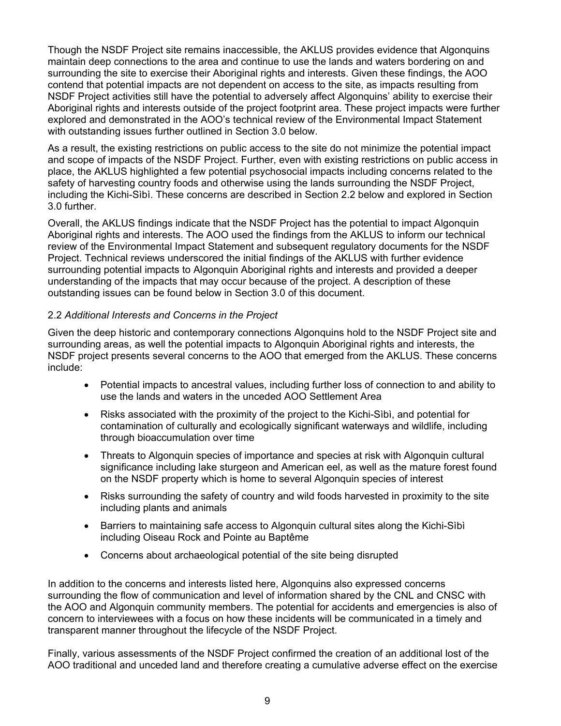Though the NSDF Project site remains inaccessible, the AKLUS provides evidence that Algonquins maintain deep connections to the area and continue to use the lands and waters bordering on and surrounding the site to exercise their Aboriginal rights and interests. Given these findings, the AOO contend that potential impacts are not dependent on access to the site, as impacts resulting from NSDF Project activities still have the potential to adversely affect Algonquins' ability to exercise their Aboriginal rights and interests outside of the project footprint area. These project impacts were further explored and demonstrated in the AOO's technical review of the Environmental Impact Statement with outstanding issues further outlined in Section 3.0 below.

As a result, the existing restrictions on public access to the site do not minimize the potential impact and scope of impacts of the NSDF Project. Further, even with existing restrictions on public access in place, the AKLUS highlighted a few potential psychosocial impacts including concerns related to the safety of harvesting country foods and otherwise using the lands surrounding the NSDF Project, including the Kichi-Sìbì. These concerns are described in Section 2.2 below and explored in Section 3.0 further.

Overall, the AKLUS findings indicate that the NSDF Project has the potential to impact Algonquin Aboriginal rights and interests. The AOO used the findings from the AKLUS to inform our technical review of the Environmental Impact Statement and subsequent regulatory documents for the NSDF Project. Technical reviews underscored the initial findings of the AKLUS with further evidence surrounding potential impacts to Algonquin Aboriginal rights and interests and provided a deeper understanding of the impacts that may occur because of the project. A description of these outstanding issues can be found below in Section 3.0 of this document.

#### 2.2 *Additional Interests and Concerns in the Project*

Given the deep historic and contemporary connections Algonquins hold to the NSDF Project site and surrounding areas, as well the potential impacts to Algonquin Aboriginal rights and interests, the NSDF project presents several concerns to the AOO that emerged from the AKLUS. These concerns include:

- Potential impacts to ancestral values, including further loss of connection to and ability to use the lands and waters in the unceded AOO Settlement Area
- Risks associated with the proximity of the project to the Kichi-Sibì, and potential for contamination of culturally and ecologically significant waterways and wildlife, including through bioaccumulation over time
- Threats to Algonquin species of importance and species at risk with Algonquin cultural significance including lake sturgeon and American eel, as well as the mature forest found on the NSDF property which is home to several Algonquin species of interest
- Risks surrounding the safety of country and wild foods harvested in proximity to the site including plants and animals
- Barriers to maintaining safe access to Algonquin cultural sites along the Kichi-Sìbì including Oiseau Rock and Pointe au Baptême
- Concerns about archaeological potential of the site being disrupted

In addition to the concerns and interests listed here, Algonquins also expressed concerns surrounding the flow of communication and level of information shared by the CNL and CNSC with the AOO and Algonquin community members. The potential for accidents and emergencies is also of concern to interviewees with a focus on how these incidents will be communicated in a timely and transparent manner throughout the lifecycle of the NSDF Project.

Finally, various assessments of the NSDF Project confirmed the creation of an additional lost of the AOO traditional and unceded land and therefore creating a cumulative adverse effect on the exercise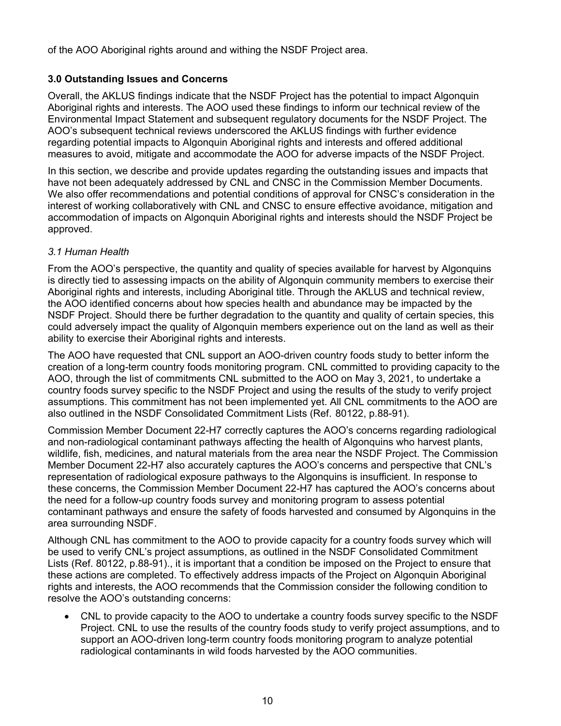of the AOO Aboriginal rights around and withing the NSDF Project area.

# **3.0 Outstanding Issues and Concerns**

Overall, the AKLUS findings indicate that the NSDF Project has the potential to impact Algonquin Aboriginal rights and interests. The AOO used these findings to inform our technical review of the Environmental Impact Statement and subsequent regulatory documents for the NSDF Project. The AOO's subsequent technical reviews underscored the AKLUS findings with further evidence regarding potential impacts to Algonquin Aboriginal rights and interests and offered additional measures to avoid, mitigate and accommodate the AOO for adverse impacts of the NSDF Project.

In this section, we describe and provide updates regarding the outstanding issues and impacts that have not been adequately addressed by CNL and CNSC in the Commission Member Documents. We also offer recommendations and potential conditions of approval for CNSC's consideration in the interest of working collaboratively with CNL and CNSC to ensure effective avoidance, mitigation and accommodation of impacts on Algonquin Aboriginal rights and interests should the NSDF Project be approved.

# *3.1 Human Health*

From the AOO's perspective, the quantity and quality of species available for harvest by Algonquins is directly tied to assessing impacts on the ability of Algonquin community members to exercise their Aboriginal rights and interests, including Aboriginal title. Through the AKLUS and technical review, the AOO identified concerns about how species health and abundance may be impacted by the NSDF Project. Should there be further degradation to the quantity and quality of certain species, this could adversely impact the quality of Algonquin members experience out on the land as well as their ability to exercise their Aboriginal rights and interests.

The AOO have requested that CNL support an AOO-driven country foods study to better inform the creation of a long-term country foods monitoring program. CNL committed to providing capacity to the AOO, through the list of commitments CNL submitted to the AOO on May 3, 2021, to undertake a country foods survey specific to the NSDF Project and using the results of the study to verify project assumptions. This commitment has not been implemented yet. All CNL commitments to the AOO are also outlined in the NSDF Consolidated Commitment Lists (Ref. 80122, p.88-91).

Commission Member Document 22-H7 correctly captures the AOO's concerns regarding radiological and non-radiological contaminant pathways affecting the health of Algonquins who harvest plants, wildlife, fish, medicines, and natural materials from the area near the NSDF Project. The Commission Member Document 22-H7 also accurately captures the AOO's concerns and perspective that CNL's representation of radiological exposure pathways to the Algonquins is insufficient. In response to these concerns, the Commission Member Document 22-H7 has captured the AOO's concerns about the need for a follow-up country foods survey and monitoring program to assess potential contaminant pathways and ensure the safety of foods harvested and consumed by Algonquins in the area surrounding NSDF.

Although CNL has commitment to the AOO to provide capacity for a country foods survey which will be used to verify CNL's project assumptions, as outlined in the NSDF Consolidated Commitment Lists (Ref. 80122, p.88-91)., it is important that a condition be imposed on the Project to ensure that these actions are completed. To effectively address impacts of the Project on Algonquin Aboriginal rights and interests, the AOO recommends that the Commission consider the following condition to resolve the AOO's outstanding concerns:

• CNL to provide capacity to the AOO to undertake a country foods survey specific to the NSDF Project. CNL to use the results of the country foods study to verify project assumptions, and to support an AOO-driven long-term country foods monitoring program to analyze potential radiological contaminants in wild foods harvested by the AOO communities.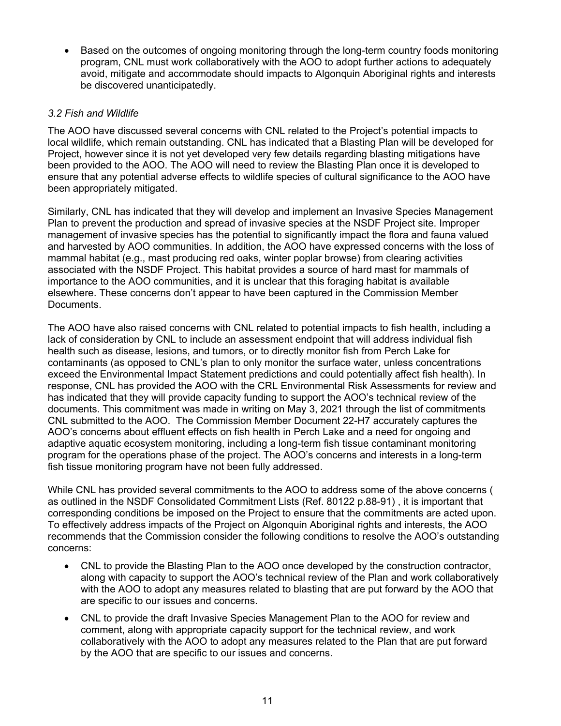• Based on the outcomes of ongoing monitoring through the long-term country foods monitoring program, CNL must work collaboratively with the AOO to adopt further actions to adequately avoid, mitigate and accommodate should impacts to Algonquin Aboriginal rights and interests be discovered unanticipatedly.

#### *3.2 Fish and Wildlife*

The AOO have discussed several concerns with CNL related to the Project's potential impacts to local wildlife, which remain outstanding. CNL has indicated that a Blasting Plan will be developed for Project, however since it is not yet developed very few details regarding blasting mitigations have been provided to the AOO. The AOO will need to review the Blasting Plan once it is developed to ensure that any potential adverse effects to wildlife species of cultural significance to the AOO have been appropriately mitigated.

Similarly, CNL has indicated that they will develop and implement an Invasive Species Management Plan to prevent the production and spread of invasive species at the NSDF Project site. Improper management of invasive species has the potential to significantly impact the flora and fauna valued and harvested by AOO communities. In addition, the AOO have expressed concerns with the loss of mammal habitat (e.g., mast producing red oaks, winter poplar browse) from clearing activities associated with the NSDF Project. This habitat provides a source of hard mast for mammals of importance to the AOO communities, and it is unclear that this foraging habitat is available elsewhere. These concerns don't appear to have been captured in the Commission Member Documents.

The AOO have also raised concerns with CNL related to potential impacts to fish health, including a lack of consideration by CNL to include an assessment endpoint that will address individual fish health such as disease, lesions, and tumors, or to directly monitor fish from Perch Lake for contaminants (as opposed to CNL's plan to only monitor the surface water, unless concentrations exceed the Environmental Impact Statement predictions and could potentially affect fish health). In response, CNL has provided the AOO with the CRL Environmental Risk Assessments for review and has indicated that they will provide capacity funding to support the AOO's technical review of the documents. This commitment was made in writing on May 3, 2021 through the list of commitments CNL submitted to the AOO. The Commission Member Document 22-H7 accurately captures the AOO's concerns about effluent effects on fish health in Perch Lake and a need for ongoing and adaptive aquatic ecosystem monitoring, including a long-term fish tissue contaminant monitoring program for the operations phase of the project. The AOO's concerns and interests in a long-term fish tissue monitoring program have not been fully addressed.

While CNL has provided several commitments to the AOO to address some of the above concerns ( as outlined in the NSDF Consolidated Commitment Lists (Ref. 80122 p.88-91) , it is important that corresponding conditions be imposed on the Project to ensure that the commitments are acted upon. To effectively address impacts of the Project on Algonquin Aboriginal rights and interests, the AOO recommends that the Commission consider the following conditions to resolve the AOO's outstanding concerns:

- CNL to provide the Blasting Plan to the AOO once developed by the construction contractor, along with capacity to support the AOO's technical review of the Plan and work collaboratively with the AOO to adopt any measures related to blasting that are put forward by the AOO that are specific to our issues and concerns.
- CNL to provide the draft Invasive Species Management Plan to the AOO for review and comment, along with appropriate capacity support for the technical review, and work collaboratively with the AOO to adopt any measures related to the Plan that are put forward by the AOO that are specific to our issues and concerns.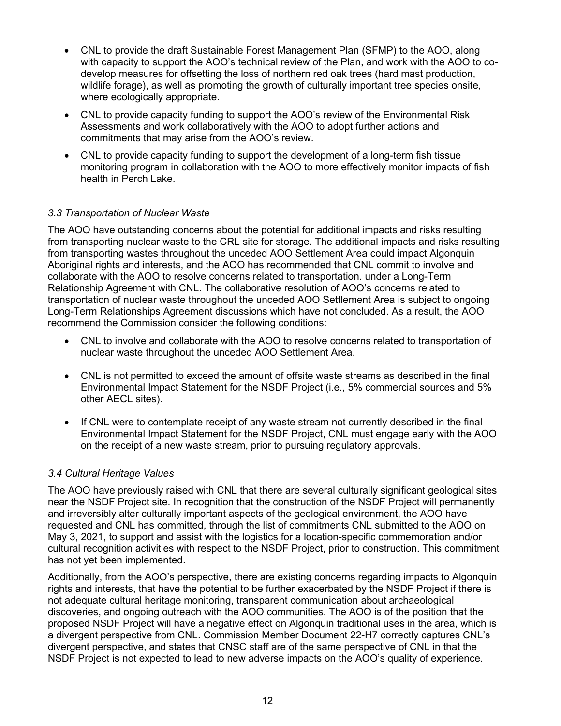- CNL to provide the draft Sustainable Forest Management Plan (SFMP) to the AOO, along with capacity to support the AOO's technical review of the Plan, and work with the AOO to codevelop measures for offsetting the loss of northern red oak trees (hard mast production, wildlife forage), as well as promoting the growth of culturally important tree species onsite, where ecologically appropriate.
- CNL to provide capacity funding to support the AOO's review of the Environmental Risk Assessments and work collaboratively with the AOO to adopt further actions and commitments that may arise from the AOO's review.
- CNL to provide capacity funding to support the development of a long-term fish tissue monitoring program in collaboration with the AOO to more effectively monitor impacts of fish health in Perch Lake.

#### *3.3 Transportation of Nuclear Waste*

The AOO have outstanding concerns about the potential for additional impacts and risks resulting from transporting nuclear waste to the CRL site for storage. The additional impacts and risks resulting from transporting wastes throughout the unceded AOO Settlement Area could impact Algonquin Aboriginal rights and interests, and the AOO has recommended that CNL commit to involve and collaborate with the AOO to resolve concerns related to transportation. under a Long-Term Relationship Agreement with CNL. The collaborative resolution of AOO's concerns related to transportation of nuclear waste throughout the unceded AOO Settlement Area is subject to ongoing Long-Term Relationships Agreement discussions which have not concluded. As a result, the AOO recommend the Commission consider the following conditions:

- CNL to involve and collaborate with the AOO to resolve concerns related to transportation of nuclear waste throughout the unceded AOO Settlement Area.
- CNL is not permitted to exceed the amount of offsite waste streams as described in the final Environmental Impact Statement for the NSDF Project (i.e., 5% commercial sources and 5% other AECL sites).
- If CNL were to contemplate receipt of any waste stream not currently described in the final Environmental Impact Statement for the NSDF Project, CNL must engage early with the AOO on the receipt of a new waste stream, prior to pursuing regulatory approvals.

#### *3.4 Cultural Heritage Values*

The AOO have previously raised with CNL that there are several culturally significant geological sites near the NSDF Project site. In recognition that the construction of the NSDF Project will permanently and irreversibly alter culturally important aspects of the geological environment, the AOO have requested and CNL has committed, through the list of commitments CNL submitted to the AOO on May 3, 2021, to support and assist with the logistics for a location-specific commemoration and/or cultural recognition activities with respect to the NSDF Project, prior to construction. This commitment has not yet been implemented.

Additionally, from the AOO's perspective, there are existing concerns regarding impacts to Algonquin rights and interests, that have the potential to be further exacerbated by the NSDF Project if there is not adequate cultural heritage monitoring, transparent communication about archaeological discoveries, and ongoing outreach with the AOO communities. The AOO is of the position that the proposed NSDF Project will have a negative effect on Algonquin traditional uses in the area, which is a divergent perspective from CNL. Commission Member Document 22-H7 correctly captures CNL's divergent perspective, and states that CNSC staff are of the same perspective of CNL in that the NSDF Project is not expected to lead to new adverse impacts on the AOO's quality of experience.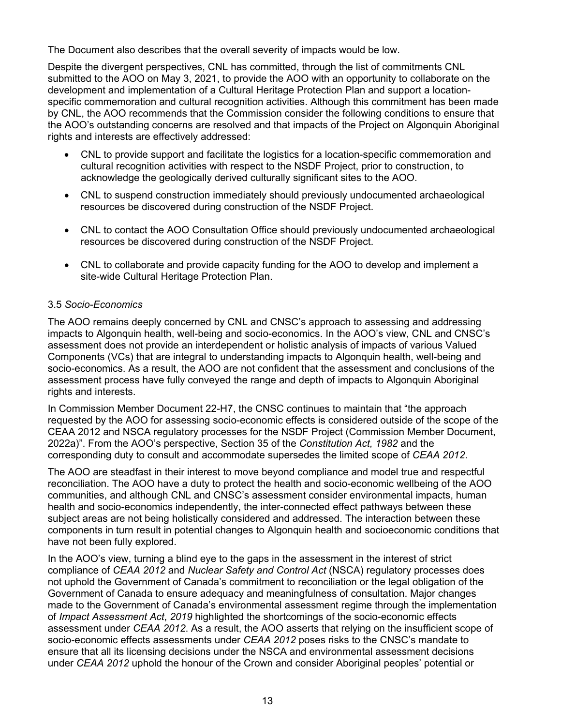The Document also describes that the overall severity of impacts would be low.

Despite the divergent perspectives, CNL has committed, through the list of commitments CNL submitted to the AOO on May 3, 2021, to provide the AOO with an opportunity to collaborate on the development and implementation of a Cultural Heritage Protection Plan and support a locationspecific commemoration and cultural recognition activities. Although this commitment has been made by CNL, the AOO recommends that the Commission consider the following conditions to ensure that the AOO's outstanding concerns are resolved and that impacts of the Project on Algonquin Aboriginal rights and interests are effectively addressed:

- CNL to provide support and facilitate the logistics for a location-specific commemoration and cultural recognition activities with respect to the NSDF Project, prior to construction, to acknowledge the geologically derived culturally significant sites to the AOO.
- CNL to suspend construction immediately should previously undocumented archaeological resources be discovered during construction of the NSDF Project.
- CNL to contact the AOO Consultation Office should previously undocumented archaeological resources be discovered during construction of the NSDF Project.
- CNL to collaborate and provide capacity funding for the AOO to develop and implement a site-wide Cultural Heritage Protection Plan.

#### 3.5 *Socio-Economics*

The AOO remains deeply concerned by CNL and CNSC's approach to assessing and addressing impacts to Algonquin health, well-being and socio-economics. In the AOO's view, CNL and CNSC's assessment does not provide an interdependent or holistic analysis of impacts of various Valued Components (VCs) that are integral to understanding impacts to Algonquin health, well-being and socio-economics. As a result, the AOO are not confident that the assessment and conclusions of the assessment process have fully conveyed the range and depth of impacts to Algonquin Aboriginal rights and interests.

In Commission Member Document 22-H7, the CNSC continues to maintain that "the approach requested by the AOO for assessing socio-economic effects is considered outside of the scope of the CEAA 2012 and NSCA regulatory processes for the NSDF Project (Commission Member Document, 2022a)". From the AOO's perspective, Section 35 of the *Constitution Act, 1982* and the corresponding duty to consult and accommodate supersedes the limited scope of *CEAA 2012*.

The AOO are steadfast in their interest to move beyond compliance and model true and respectful reconciliation. The AOO have a duty to protect the health and socio-economic wellbeing of the AOO communities, and although CNL and CNSC's assessment consider environmental impacts, human health and socio-economics independently, the inter-connected effect pathways between these subject areas are not being holistically considered and addressed. The interaction between these components in turn result in potential changes to Algonquin health and socioeconomic conditions that have not been fully explored.

In the AOO's view, turning a blind eye to the gaps in the assessment in the interest of strict compliance of *CEAA 2012* and *Nuclear Safety and Control Act* (NSCA) regulatory processes does not uphold the Government of Canada's commitment to reconciliation or the legal obligation of the Government of Canada to ensure adequacy and meaningfulness of consultation. Major changes made to the Government of Canada's environmental assessment regime through the implementation of *Impact Assessment Act*, *2019* highlighted the shortcomings of the socio-economic effects assessment under *CEAA 2012*. As a result, the AOO asserts that relying on the insufficient scope of socio-economic effects assessments under *CEAA 2012* poses risks to the CNSC's mandate to ensure that all its licensing decisions under the NSCA and environmental assessment decisions under *CEAA 2012* uphold the honour of the Crown and consider Aboriginal peoples' potential or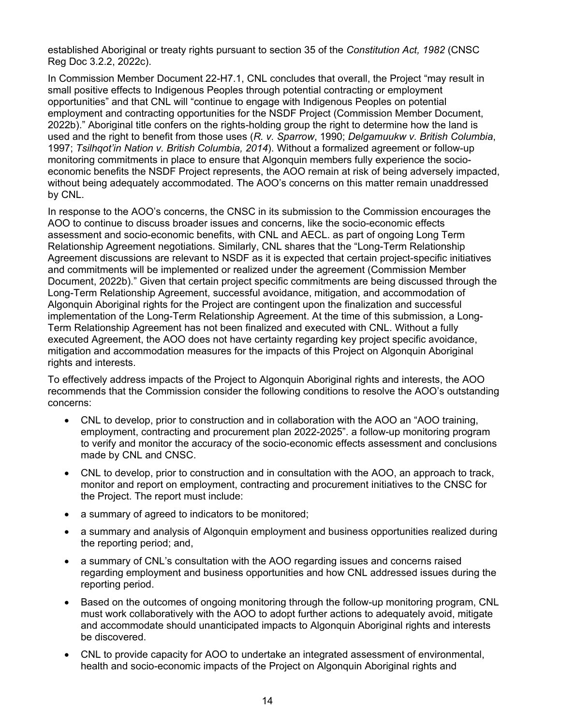established Aboriginal or treaty rights pursuant to section 35 of the *Constitution Act, 1982* (CNSC Reg Doc 3.2.2, 2022c).

In Commission Member Document 22-H7.1, CNL concludes that overall, the Project "may result in small positive effects to Indigenous Peoples through potential contracting or employment opportunities" and that CNL will "continue to engage with Indigenous Peoples on potential employment and contracting opportunities for the NSDF Project (Commission Member Document, 2022b)." Aboriginal title confers on the rights-holding group the right to determine how the land is used and the right to benefit from those uses (*R. v. Sparrow*, 1990; *Delgamuukw v. British Columbia*, 1997; *Tsilhqot'in Nation v. British Columbia, 2014*). Without a formalized agreement or follow-up monitoring commitments in place to ensure that Algonquin members fully experience the socioeconomic benefits the NSDF Project represents, the AOO remain at risk of being adversely impacted, without being adequately accommodated. The AOO's concerns on this matter remain unaddressed by CNL.

In response to the AOO's concerns, the CNSC in its submission to the Commission encourages the AOO to continue to discuss broader issues and concerns, like the socio-economic effects assessment and socio-economic benefits, with CNL and AECL. as part of ongoing Long Term Relationship Agreement negotiations. Similarly, CNL shares that the "Long-Term Relationship Agreement discussions are relevant to NSDF as it is expected that certain project-specific initiatives and commitments will be implemented or realized under the agreement (Commission Member Document, 2022b)." Given that certain project specific commitments are being discussed through the Long-Term Relationship Agreement, successful avoidance, mitigation, and accommodation of Algonquin Aboriginal rights for the Project are contingent upon the finalization and successful implementation of the Long-Term Relationship Agreement. At the time of this submission, a Long-Term Relationship Agreement has not been finalized and executed with CNL. Without a fully executed Agreement, the AOO does not have certainty regarding key project specific avoidance, mitigation and accommodation measures for the impacts of this Project on Algonquin Aboriginal rights and interests.

To effectively address impacts of the Project to Algonquin Aboriginal rights and interests, the AOO recommends that the Commission consider the following conditions to resolve the AOO's outstanding concerns:

- CNL to develop, prior to construction and in collaboration with the AOO an "AOO training, employment, contracting and procurement plan 2022-2025". a follow-up monitoring program to verify and monitor the accuracy of the socio-economic effects assessment and conclusions made by CNL and CNSC.
- CNL to develop, prior to construction and in consultation with the AOO, an approach to track, monitor and report on employment, contracting and procurement initiatives to the CNSC for the Project. The report must include:
- a summary of agreed to indicators to be monitored;
- a summary and analysis of Algonquin employment and business opportunities realized during the reporting period; and,
- a summary of CNL's consultation with the AOO regarding issues and concerns raised regarding employment and business opportunities and how CNL addressed issues during the reporting period.
- Based on the outcomes of ongoing monitoring through the follow-up monitoring program, CNL must work collaboratively with the AOO to adopt further actions to adequately avoid, mitigate and accommodate should unanticipated impacts to Algonquin Aboriginal rights and interests be discovered.
- CNL to provide capacity for AOO to undertake an integrated assessment of environmental, health and socio-economic impacts of the Project on Algonquin Aboriginal rights and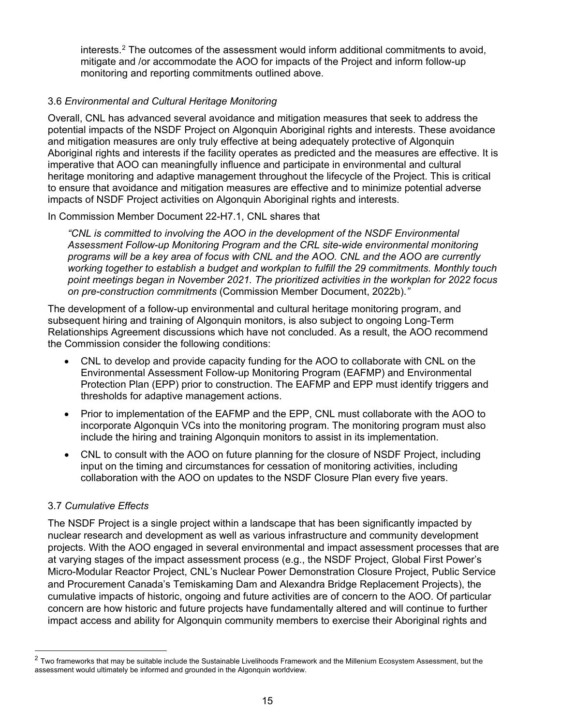interests.<sup>[2](#page-15-0)</sup> The outcomes of the assessment would inform additional commitments to avoid, mitigate and /or accommodate the AOO for impacts of the Project and inform follow-up monitoring and reporting commitments outlined above.

## 3.6 *Environmental and Cultural Heritage Monitoring*

Overall, CNL has advanced several avoidance and mitigation measures that seek to address the potential impacts of the NSDF Project on Algonquin Aboriginal rights and interests. These avoidance and mitigation measures are only truly effective at being adequately protective of Algonquin Aboriginal rights and interests if the facility operates as predicted and the measures are effective. It is imperative that AOO can meaningfully influence and participate in environmental and cultural heritage monitoring and adaptive management throughout the lifecycle of the Project. This is critical to ensure that avoidance and mitigation measures are effective and to minimize potential adverse impacts of NSDF Project activities on Algonquin Aboriginal rights and interests.

#### In Commission Member Document 22-H7.1, CNL shares that

*"CNL is committed to involving the AOO in the development of the NSDF Environmental Assessment Follow-up Monitoring Program and the CRL site-wide environmental monitoring programs will be a key area of focus with CNL and the AOO. CNL and the AOO are currently working together to establish a budget and workplan to fulfill the 29 commitments. Monthly touch point meetings began in November 2021. The prioritized activities in the workplan for 2022 focus on pre-construction commitments* (Commission Member Document, 2022b).*"*

The development of a follow-up environmental and cultural heritage monitoring program, and subsequent hiring and training of Algonquin monitors, is also subject to ongoing Long-Term Relationships Agreement discussions which have not concluded. As a result, the AOO recommend the Commission consider the following conditions:

- CNL to develop and provide capacity funding for the AOO to collaborate with CNL on the Environmental Assessment Follow-up Monitoring Program (EAFMP) and Environmental Protection Plan (EPP) prior to construction. The EAFMP and EPP must identify triggers and thresholds for adaptive management actions.
- Prior to implementation of the EAFMP and the EPP, CNL must collaborate with the AOO to incorporate Algonquin VCs into the monitoring program. The monitoring program must also include the hiring and training Algonquin monitors to assist in its implementation.
- CNL to consult with the AOO on future planning for the closure of NSDF Project, including input on the timing and circumstances for cessation of monitoring activities, including collaboration with the AOO on updates to the NSDF Closure Plan every five years.

#### 3.7 *Cumulative Effects*

The NSDF Project is a single project within a landscape that has been significantly impacted by nuclear research and development as well as various infrastructure and community development projects. With the AOO engaged in several environmental and impact assessment processes that are at varying stages of the impact assessment process (e.g., the NSDF Project, Global First Power's Micro-Modular Reactor Project, CNL's Nuclear Power Demonstration Closure Project, Public Service and Procurement Canada's Temiskaming Dam and Alexandra Bridge Replacement Projects), the cumulative impacts of historic, ongoing and future activities are of concern to the AOO. Of particular concern are how historic and future projects have fundamentally altered and will continue to further impact access and ability for Algonquin community members to exercise their Aboriginal rights and

<span id="page-15-0"></span> $2$  Two frameworks that may be suitable include the Sustainable Livelihoods Framework and the Millenium Ecosystem Assessment, but the assessment would ultimately be informed and grounded in the Algonquin worldview.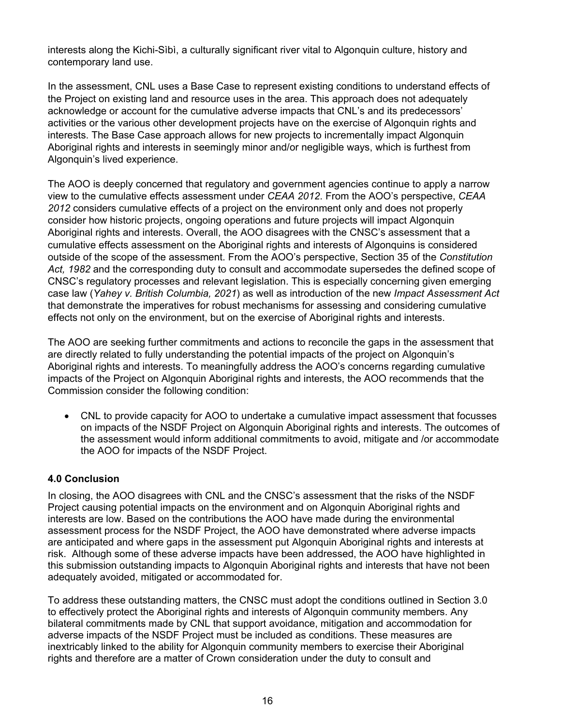interests along the Kichi-Sìbì, a culturally significant river vital to Algonquin culture, history and contemporary land use.

In the assessment, CNL uses a Base Case to represent existing conditions to understand effects of the Project on existing land and resource uses in the area. This approach does not adequately acknowledge or account for the cumulative adverse impacts that CNL's and its predecessors' activities or the various other development projects have on the exercise of Algonquin rights and interests. The Base Case approach allows for new projects to incrementally impact Algonquin Aboriginal rights and interests in seemingly minor and/or negligible ways, which is furthest from Algonquin's lived experience.

The AOO is deeply concerned that regulatory and government agencies continue to apply a narrow view to the cumulative effects assessment under *CEAA 2012*. From the AOO's perspective, *CEAA 2012* considers cumulative effects of a project on the environment only and does not properly consider how historic projects, ongoing operations and future projects will impact Algonquin Aboriginal rights and interests. Overall, the AOO disagrees with the CNSC's assessment that a cumulative effects assessment on the Aboriginal rights and interests of Algonquins is considered outside of the scope of the assessment. From the AOO's perspective, Section 35 of the *Constitution Act, 1982* and the corresponding duty to consult and accommodate supersedes the defined scope of CNSC's regulatory processes and relevant legislation. This is especially concerning given emerging case law (*Yahey v. British Columbia, 2021*) as well as introduction of the new *Impact Assessment Act* that demonstrate the imperatives for robust mechanisms for assessing and considering cumulative effects not only on the environment, but on the exercise of Aboriginal rights and interests.

The AOO are seeking further commitments and actions to reconcile the gaps in the assessment that are directly related to fully understanding the potential impacts of the project on Algonquin's Aboriginal rights and interests. To meaningfully address the AOO's concerns regarding cumulative impacts of the Project on Algonquin Aboriginal rights and interests, the AOO recommends that the Commission consider the following condition:

• CNL to provide capacity for AOO to undertake a cumulative impact assessment that focusses on impacts of the NSDF Project on Algonquin Aboriginal rights and interests. The outcomes of the assessment would inform additional commitments to avoid, mitigate and /or accommodate the AOO for impacts of the NSDF Project.

## **4.0 Conclusion**

In closing, the AOO disagrees with CNL and the CNSC's assessment that the risks of the NSDF Project causing potential impacts on the environment and on Algonquin Aboriginal rights and interests are low. Based on the contributions the AOO have made during the environmental assessment process for the NSDF Project, the AOO have demonstrated where adverse impacts are anticipated and where gaps in the assessment put Algonquin Aboriginal rights and interests at risk. Although some of these adverse impacts have been addressed, the AOO have highlighted in this submission outstanding impacts to Algonquin Aboriginal rights and interests that have not been adequately avoided, mitigated or accommodated for.

To address these outstanding matters, the CNSC must adopt the conditions outlined in Section 3.0 to effectively protect the Aboriginal rights and interests of Algonquin community members. Any bilateral commitments made by CNL that support avoidance, mitigation and accommodation for adverse impacts of the NSDF Project must be included as conditions. These measures are inextricably linked to the ability for Algonquin community members to exercise their Aboriginal rights and therefore are a matter of Crown consideration under the duty to consult and